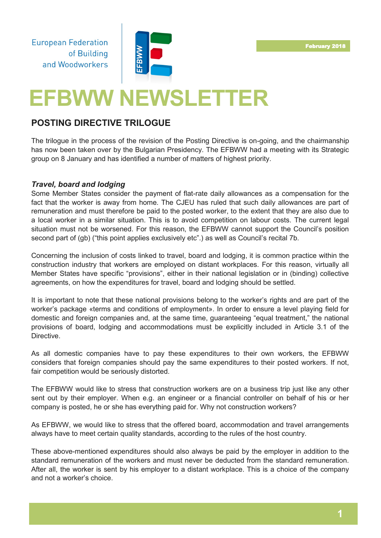**European Federation** of Building and Woodworkers



# **EFBWW NEWSLETTER**

# **POSTING DIRECTIVE TRILOGUE**

The trilogue in the process of the revision of the Posting Directive is on-going, and the chairmanship has now been taken over by the Bulgarian Presidency. The EFBWW had a meeting with its Strategic group on 8 January and has identified a number of matters of highest priority.

## *Travel, board and lodging*

Some Member States consider the payment of flat-rate daily allowances as a compensation for the fact that the worker is away from home. The CJEU has ruled that such daily allowances are part of remuneration and must therefore be paid to the posted worker, to the extent that they are also due to a local worker in a similar situation. This is to avoid competition on labour costs. The current legal situation must not be worsened. For this reason, the EFBWW cannot support the Council's position second part of (gb) ("this point applies exclusively etc".) as well as Council's recital 7b.

Concerning the inclusion of costs linked to travel, board and lodging, it is common practice within the construction industry that workers are employed on distant workplaces. For this reason, virtually all Member States have specific "provisions", either in their national legislation or in (binding) collective agreements, on how the expenditures for travel, board and lodging should be settled.

It is important to note that these national provisions belong to the worker's rights and are part of the worker's package «terms and conditions of employment». In order to ensure a level playing field for domestic and foreign companies and, at the same time, guaranteeing "equal treatment," the national provisions of board, lodging and accommodations must be explicitly included in Article 3.1 of the Directive.

As all domestic companies have to pay these expenditures to their own workers, the EFBWW considers that foreign companies should pay the same expenditures to their posted workers. If not, fair competition would be seriously distorted.

The EFBWW would like to stress that construction workers are on a business trip just like any other sent out by their employer. When e.g. an engineer or a financial controller on behalf of his or her company is posted, he or she has everything paid for. Why not construction workers?

As EFBWW, we would like to stress that the offered board, accommodation and travel arrangements always have to meet certain quality standards, according to the rules of the host country.

These above-mentioned expenditures should also always be paid by the employer in addition to the standard remuneration of the workers and must never be deducted from the standard remuneration. After all, the worker is sent by his employer to a distant workplace. This is a choice of the company and not a worker's choice.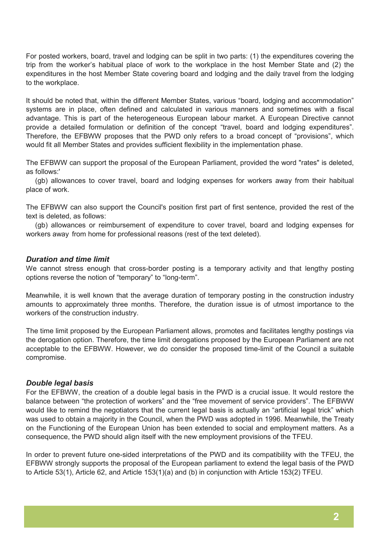For posted workers, board, travel and lodging can be split in two parts: (1) the expenditures covering the trip from the worker's habitual place of work to the workplace in the host Member State and (2) the expenditures in the host Member State covering board and lodging and the daily travel from the lodging to the workplace.

It should be noted that, within the different Member States, various "board, lodging and accommodation" systems are in place, often defined and calculated in various manners and sometimes with a fiscal advantage. This is part of the heterogeneous European labour market. A European Directive cannot provide a detailed formulation or definition of the concept "travel, board and lodging expenditures". Therefore, the EFBWW proposes that the PWD only refers to a broad concept of "provisions", which would fit all Member States and provides sufficient flexibility in the implementation phase.

The EFBWW can support the proposal of the European Parliament, provided the word "rates" is deleted, as follows:'

(gb) allowances to cover travel, board and lodging expenses for workers away from their habitual place of work.

The EFBWW can also support the Council's position first part of first sentence, provided the rest of the text is deleted, as follows:

(gb) allowances or reimbursement of expenditure to cover travel, board and lodging expenses for workers away from home for professional reasons (rest of the text deleted).

#### *Duration and time limit*

We cannot stress enough that cross-border posting is a temporary activity and that lengthy posting options reverse the notion of "temporary" to "long-term".

Meanwhile, it is well known that the average duration of temporary posting in the construction industry amounts to approximately three months. Therefore, the duration issue is of utmost importance to the workers of the construction industry.

The time limit proposed by the European Parliament allows, promotes and facilitates lengthy postings via the derogation option. Therefore, the time limit derogations proposed by the European Parliament are not acceptable to the EFBWW. However, we do consider the proposed time-limit of the Council a suitable compromise.

#### *Double legal basis*

For the EFBWW, the creation of a double legal basis in the PWD is a crucial issue. It would restore the balance between "the protection of workers" and the "free movement of service providers". The EFBWW would like to remind the negotiators that the current legal basis is actually an "artificial legal trick" which was used to obtain a majority in the Council, when the PWD was adopted in 1996. Meanwhile, the Treaty on the Functioning of the European Union has been extended to social and employment matters. As a consequence, the PWD should align itself with the new employment provisions of the TFEU.

In order to prevent future one-sided interpretations of the PWD and its compatibility with the TFEU, the EFBWW strongly supports the proposal of the European parliament to extend the legal basis of the PWD to Article 53(1), Article 62, and Article 153(1)(a) and (b) in conjunction with Article 153(2) TFEU.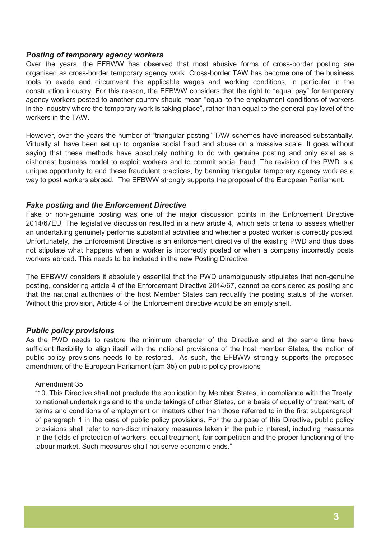#### *Posting of temporary agency workers*

Over the years, the EFBWW has observed that most abusive forms of cross-border posting are organised as cross-border temporary agency work. Cross-border TAW has become one of the business tools to evade and circumvent the applicable wages and working conditions, in particular in the construction industry. For this reason, the EFBWW considers that the right to "equal pay" for temporary agency workers posted to another country should mean "equal to the employment conditions of workers in the industry where the temporary work is taking place", rather than equal to the general pay level of the workers in the TAW.

However, over the years the number of "triangular posting" TAW schemes have increased substantially. Virtually all have been set up to organise social fraud and abuse on a massive scale. It goes without saying that these methods have absolutely nothing to do with genuine posting and only exist as a dishonest business model to exploit workers and to commit social fraud. The revision of the PWD is a unique opportunity to end these fraudulent practices, by banning triangular temporary agency work as a way to post workers abroad. The EFBWW strongly supports the proposal of the European Parliament.

#### *Fake posting and the Enforcement Directive*

Fake or non-genuine posting was one of the major discussion points in the Enforcement Directive 2014/67EU. The legislative discussion resulted in a new article 4, which sets criteria to assess whether an undertaking genuinely performs substantial activities and whether a posted worker is correctly posted. Unfortunately, the Enforcement Directive is an enforcement directive of the existing PWD and thus does not stipulate what happens when a worker is incorrectly posted or when a company incorrectly posts workers abroad. This needs to be included in the new Posting Directive.

The EFBWW considers it absolutely essential that the PWD unambiguously stipulates that non-genuine posting, considering article 4 of the Enforcement Directive 2014/67, cannot be considered as posting and that the national authorities of the host Member States can requalify the posting status of the worker. Without this provision, Article 4 of the Enforcement directive would be an empty shell.

## *Public policy provisions*

As the PWD needs to restore the minimum character of the Directive and at the same time have sufficient flexibility to align itself with the national provisions of the host member States, the notion of public policy provisions needs to be restored. As such, the EFBWW strongly supports the proposed amendment of the European Parliament (am 35) on public policy provisions

#### Amendment 35

"10. This Directive shall not preclude the application by Member States, in compliance with the Treaty, to national undertakings and to the undertakings of other States, on a basis of equality of treatment, of terms and conditions of employment on matters other than those referred to in the first subparagraph of paragraph 1 in the case of public policy provisions. For the purpose of this Directive, public policy provisions shall refer to non-discriminatory measures taken in the public interest, including measures in the fields of protection of workers, equal treatment, fair competition and the proper functioning of the labour market. Such measures shall not serve economic ends."